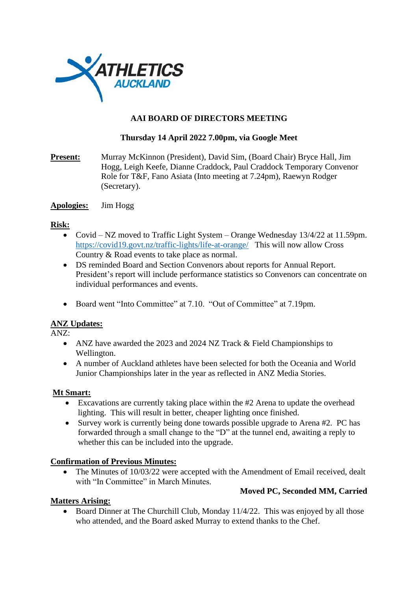

# **AAI BOARD OF DIRECTORS MEETING**

# **Thursday 14 April 2022 7.00pm, via Google Meet**

**Present:** Murray McKinnon (President), David Sim, (Board Chair) Bryce Hall, Jim Hogg, Leigh Keefe, Dianne Craddock, Paul Craddock Temporary Convenor Role for T&F, Fano Asiata (Into meeting at 7.24pm), Raewyn Rodger (Secretary).

## **Apologies:** Jim Hogg

#### **Risk:**

- Covid NZ moved to Traffic Light System Orange Wednesday 13/4/22 at 11.59pm. <https://covid19.govt.nz/traffic-lights/life-at-orange/> This will now allow Cross Country & Road events to take place as normal.
- DS reminded Board and Section Convenors about reports for Annual Report. President's report will include performance statistics so Convenors can concentrate on individual performances and events.
- Board went "Into Committee" at 7.10. "Out of Committee" at 7.19pm.

## **ANZ Updates:**

ANZ:

- ANZ have awarded the 2023 and 2024 NZ Track & Field Championships to Wellington.
- A number of Auckland athletes have been selected for both the Oceania and World Junior Championships later in the year as reflected in ANZ Media Stories.

## **Mt Smart:**

- Excavations are currently taking place within the #2 Arena to update the overhead lighting. This will result in better, cheaper lighting once finished.
- Survey work is currently being done towards possible upgrade to Arena #2. PC has forwarded through a small change to the "D" at the tunnel end, awaiting a reply to whether this can be included into the upgrade.

## **Confirmation of Previous Minutes:**

• The Minutes of 10/03/22 were accepted with the Amendment of Email received, dealt with "In Committee" in March Minutes.

## **Moved PC, Seconded MM, Carried**

## **Matters Arising:**

• Board Dinner at The Churchill Club, Monday 11/4/22. This was enjoyed by all those who attended, and the Board asked Murray to extend thanks to the Chef.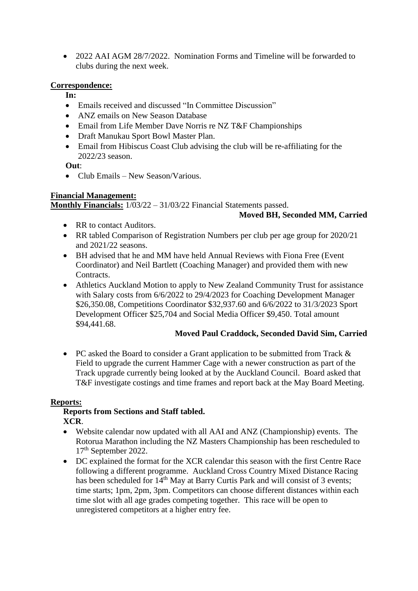• 2022 AAI AGM 28/7/2022. Nomination Forms and Timeline will be forwarded to clubs during the next week.

## **Correspondence:**

- **In:**
- Emails received and discussed "In Committee Discussion"
- ANZ emails on New Season Database
- Email from Life Member Dave Norris re NZ T&F Championships
- Draft Manukau Sport Bowl Master Plan.
- Email from Hibiscus Coast Club advising the club will be re-affiliating for the 2022/23 season.

**Out**:

• Club Emails – New Season/Various.

## **Financial Management:**

**Monthly Financials:** 1/03/22 – 31/03/22 Financial Statements passed.

## **Moved BH, Seconded MM, Carried**

- RR to contact Auditors.
- RR tabled Comparison of Registration Numbers per club per age group for 2020/21 and 2021/22 seasons.
- BH advised that he and MM have held Annual Reviews with Fiona Free (Event Coordinator) and Neil Bartlett (Coaching Manager) and provided them with new Contracts.
- Athletics Auckland Motion to apply to New Zealand Community Trust for assistance with Salary costs from 6/6/2022 to 29/4/2023 for Coaching Development Manager \$26,350.08, Competitions Coordinator \$32,937.60 and 6/6/2022 to 31/3/2023 Sport Development Officer \$25,704 and Social Media Officer \$9,450. Total amount \$94,441.68.

## **Moved Paul Craddock, Seconded David Sim, Carried**

• PC asked the Board to consider a Grant application to be submitted from Track & Field to upgrade the current Hammer Cage with a newer construction as part of the Track upgrade currently being looked at by the Auckland Council. Board asked that T&F investigate costings and time frames and report back at the May Board Meeting.

## **Reports:**

#### **Reports from Sections and Staff tabled. XCR**.

- Website calendar now updated with all AAI and ANZ (Championship) events. The Rotorua Marathon including the NZ Masters Championship has been rescheduled to 17th September 2022.
	- DC explained the format for the XCR calendar this season with the first Centre Race following a different programme. Auckland Cross Country Mixed Distance Racing has been scheduled for 14<sup>th</sup> May at Barry Curtis Park and will consist of 3 events; time starts; 1pm, 2pm, 3pm. Competitors can choose different distances within each time slot with all age grades competing together. This race will be open to unregistered competitors at a higher entry fee.